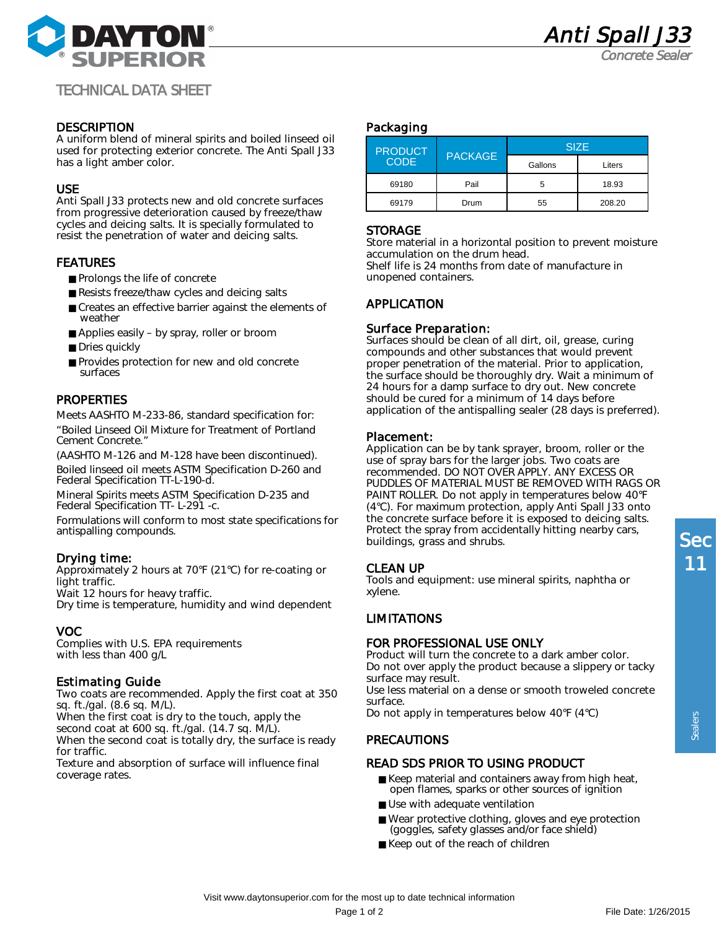

Concrete Seale

# TECHNICAL DATA SHEET

### **DESCRIPTION**

A uniform blend of mineral spirits and boiled linseed oil used for protecting exterior concrete. The Anti Spall J33 has a light amber color.

#### USE

Anti Spall J33 protects new and old concrete surfaces from progressive deterioration caused by freeze/thaw cycles and deicing salts. It is specially formulated to resist the penetration of water and deicing salts.

### FEATURES

- Prolongs the life of concrete
- Resists freeze/thaw cycles and deicing salts
- Creates an effective barrier against the elements of weather
- Applies easily by spray, roller or broom
- Dries quickly
- Provides protection for new and old concrete surfaces

## **PROPERTIES**

Meets AASHTO M-233-86, standard specification for: "Boiled Linseed Oil Mixture for Treatment of Portland Cement Concrete."

(AASHTO M-126 and M-128 have been discontinued). Boiled linseed oil meets ASTM Specification D-260 and Federal Specification TT-L-190-d.

Mineral Spirits meets ASTM Specification D-235 and Federal Specification TT- L-291 -c.

Formulations will conform to most state specifications for antispalling compounds.

### Drying time:

Approximately 2 hours at 70°F (21°C) for re-coating or light traffic.

Wait 12 hours for heavy traffic.

Dry time is temperature, humidity and wind dependent

## VOC

Complies with U.S. EPA requirements with less than 400 g/L

### Estimating Guide

Two coats are recommended. Apply the first coat at 350 sq. ft./gal. (8.6 sq. M/L).

When the first coat is dry to the touch, apply the

second coat at 600 sq. ft./gal. (14.7 sq. M/L).

When the second coat is totally dry, the surface is ready for traffic.

Texture and absorption of surface will influence final coverage rates.

#### Packaging

| <b>PRODUCT</b><br><b>CODE</b> | <b>PACKAGE</b> | <b>SIZE</b> |        |
|-------------------------------|----------------|-------------|--------|
|                               |                | Gallons     | Liters |
| 69180                         | Pail           | 5           | 18.93  |
| 69179                         | Drum           | 55          | 208.20 |

#### **STORAGE**

Store material in a horizontal position to prevent moisture accumulation on the drum head. Shelf life is 24 months from date of manufacture in unopened containers.

## APPLICATION

### Surface Preparation:

Surfaces should be clean of all dirt, oil, grease, curing compounds and other substances that would prevent proper penetration of the material. Prior to application, the surface should be thoroughly dry. Wait a minimum of 24 hours for a damp surface to dry out. New concrete should be cured for a minimum of 14 days before application of the antispalling sealer (28 days is preferred).

### Placement:

Application can be by tank sprayer, broom, roller or the use of spray bars for the larger jobs. Two coats are recommended. DO NOT OVER APPLY. ANY EXCESS OR PUDDLES OF MATERIAL MUST BE REMOVED WITH RAGS OR PAINT ROLLER. Do not apply in temperatures below 40°F (4°C). For maximum protection, apply Anti Spall J33 onto the concrete surface before it is exposed to deicing salts. Protect the spray from accidentally hitting nearby cars, buildings, grass and shrubs.

### CLEAN UP

Tools and equipment: use mineral spirits, naphtha or xylene.

### LIMITATIONS

### FOR PROFESSIONAL USE ONLY

Product will turn the concrete to a dark amber color. Do not over apply the product because a slippery or tacky surface may result.

Use less material on a dense or smooth troweled concrete surface.

Do not apply in temperatures below 40°F (4°C)

### PRECAUTIONS

### READ SDS PRIOR TO USING PRODUCT

- Keep material and containers away from high heat, open flames, sparks or other sources of ignition
- Use with adequate ventilation
- Wear protective clothing, gloves and eye protection (goggles, safety glasses and/or face shield)
- Keep out of the reach of children

Sealers